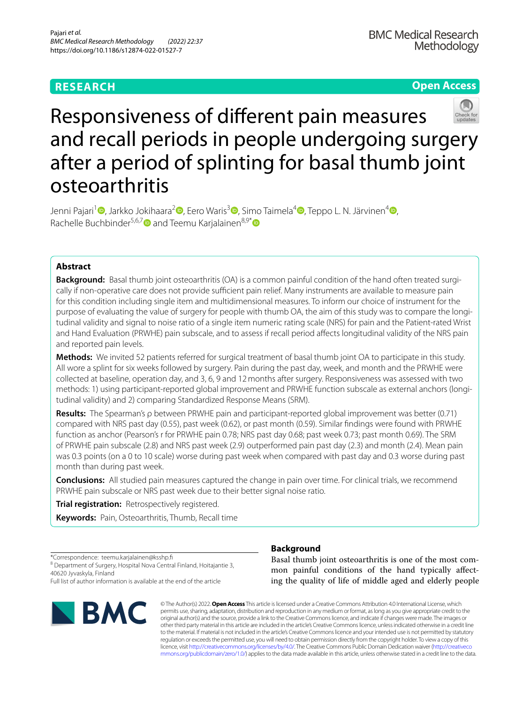# **RESEARCH**

**Open Access**

# Responsiveness of diferent pain measures and recall periods in people undergoing surgery after a period of splinting for basal thumb joint osteoarthritis

Jenni Pajari<sup>1</sup> <sup>(b</sup>. Jarkko Jokihaara<sup>2</sup> <sup>(b</sup>. Eero Waris<sup>3 (b</sup>. Simo Taimela<sup>4</sup> <sup>(b</sup>. Teppo L. N. Järvinen<sup>4</sup> (b. Rachelle Buchbinder<sup>5,6,[7](https://orcid.org/0000-0002-0597-0933)</sup> and Teemu Karialainen<sup>8,9[\\*](https://orcid.org/0000-0002-5650-895X)</sup>  $\bullet$ 

# **Abstract**

**Background:** Basal thumb joint osteoarthritis (OA) is a common painful condition of the hand often treated surgically if non-operative care does not provide sufficient pain relief. Many instruments are available to measure pain for this condition including single item and multidimensional measures. To inform our choice of instrument for the purpose of evaluating the value of surgery for people with thumb OA, the aim of this study was to compare the longitudinal validity and signal to noise ratio of a single item numeric rating scale (NRS) for pain and the Patient-rated Wrist and Hand Evaluation (PRWHE) pain subscale, and to assess if recall period afects longitudinal validity of the NRS pain and reported pain levels.

**Methods:** We invited 52 patients referred for surgical treatment of basal thumb joint OA to participate in this study. All wore a splint for six weeks followed by surgery. Pain during the past day, week, and month and the PRWHE were collected at baseline, operation day, and 3, 6, 9 and 12months after surgery. Responsiveness was assessed with two methods: 1) using participant-reported global improvement and PRWHE function subscale as external anchors (longitudinal validity) and 2) comparing Standardized Response Means (SRM).

**Results:** The Spearman's ρ between PRWHE pain and participant-reported global improvement was better (0.71) compared with NRS past day (0.55), past week (0.62), or past month (0.59). Similar fndings were found with PRWHE function as anchor (Pearson's r for PRWHE pain 0.78; NRS past day 0.68; past week 0.73; past month 0.69). The SRM of PRWHE pain subscale (2.8) and NRS past week (2.9) outperformed pain past day (2.3) and month (2.4). Mean pain was 0.3 points (on a 0 to 10 scale) worse during past week when compared with past day and 0.3 worse during past month than during past week.

**Conclusions:** All studied pain measures captured the change in pain over time. For clinical trials, we recommend PRWHE pain subscale or NRS past week due to their better signal noise ratio.

**Trial registration:** Retrospectively registered.

**Keywords:** Pain, Osteoarthritis, Thumb, Recall time

\*Correspondence: teemu.karjalainen@ksshp.f <sup>8</sup> Department of Surgery, Hospital Nova Central Finland, Hoitajantie 3, 40620 Jyvaskyla, Finland

Full list of author information is available at the end of the article



## **Background**

Basal thumb joint osteoarthritis is one of the most common painful conditions of the hand typically afecting the quality of life of middle aged and elderly people

© The Author(s) 2022. **Open Access** This article is licensed under a Creative Commons Attribution 4.0 International License, which permits use, sharing, adaptation, distribution and reproduction in any medium or format, as long as you give appropriate credit to the original author(s) and the source, provide a link to the Creative Commons licence, and indicate if changes were made. The images or other third party material in this article are included in the article's Creative Commons licence, unless indicated otherwise in a credit line to the material. If material is not included in the article's Creative Commons licence and your intended use is not permitted by statutory regulation or exceeds the permitted use, you will need to obtain permission directly from the copyright holder. To view a copy of this licence, visit [http://creativecommons.org/licenses/by/4.0/.](http://creativecommons.org/licenses/by/4.0/) The Creative Commons Public Domain Dedication waiver ([http://creativeco](http://creativecommons.org/publicdomain/zero/1.0/) [mmons.org/publicdomain/zero/1.0/](http://creativecommons.org/publicdomain/zero/1.0/)) applies to the data made available in this article, unless otherwise stated in a credit line to the data.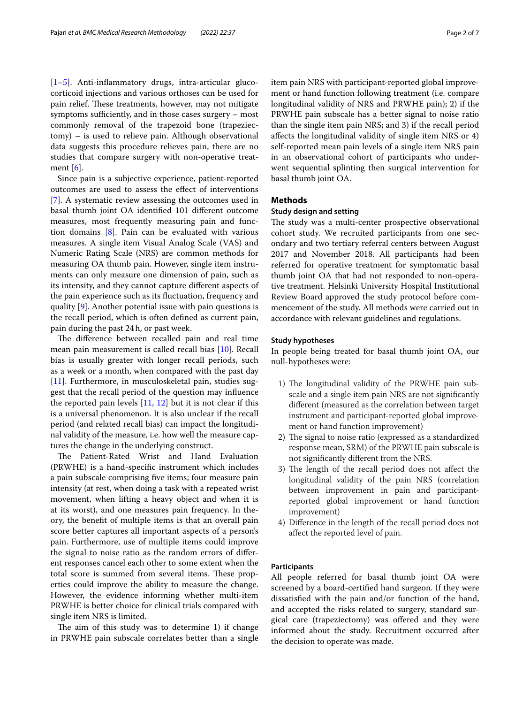[[1–](#page-6-0)[5\]](#page-6-1). Anti-infammatory drugs, intra-articular glucocorticoid injections and various orthoses can be used for pain relief. These treatments, however, may not mitigate symptoms sufficiently, and in those cases surgery  $-$  most commonly removal of the trapezoid bone (trapeziectomy) – is used to relieve pain. Although observational data suggests this procedure relieves pain, there are no studies that compare surgery with non-operative treatment  $[6]$  $[6]$ .

Since pain is a subjective experience, patient-reported outcomes are used to assess the efect of interventions [[7\]](#page-6-3). A systematic review assessing the outcomes used in basal thumb joint OA identifed 101 diferent outcome measures, most frequently measuring pain and function domains [\[8](#page-6-4)]. Pain can be evaluated with various measures. A single item Visual Analog Scale (VAS) and Numeric Rating Scale (NRS) are common methods for measuring OA thumb pain. However, single item instruments can only measure one dimension of pain, such as its intensity, and they cannot capture diferent aspects of the pain experience such as its fuctuation, frequency and quality [\[9](#page-6-5)]. Another potential issue with pain questions is the recall period, which is often defned as current pain, pain during the past 24h, or past week.

The difference between recalled pain and real time mean pain measurement is called recall bias [\[10](#page-6-6)]. Recall bias is usually greater with longer recall periods, such as a week or a month, when compared with the past day [[11\]](#page-6-7). Furthermore, in musculoskeletal pain, studies suggest that the recall period of the question may infuence the reported pain levels  $[11, 12]$  $[11, 12]$  $[11, 12]$  but it is not clear if this is a universal phenomenon. It is also unclear if the recall period (and related recall bias) can impact the longitudinal validity of the measure, i.e. how well the measure captures the change in the underlying construct.

The Patient-Rated Wrist and Hand Evaluation (PRWHE) is a hand-specifc instrument which includes a pain subscale comprising fve items; four measure pain intensity (at rest, when doing a task with a repeated wrist movement, when lifting a heavy object and when it is at its worst), and one measures pain frequency. In theory, the beneft of multiple items is that an overall pain score better captures all important aspects of a person's pain. Furthermore, use of multiple items could improve the signal to noise ratio as the random errors of diferent responses cancel each other to some extent when the total score is summed from several items. These properties could improve the ability to measure the change. However, the evidence informing whether multi-item PRWHE is better choice for clinical trials compared with single item NRS is limited.

The aim of this study was to determine  $1$ ) if change in PRWHE pain subscale correlates better than a single item pain NRS with participant-reported global improvement or hand function following treatment (i.e. compare longitudinal validity of NRS and PRWHE pain); 2) if the PRWHE pain subscale has a better signal to noise ratio than the single item pain NRS; and 3) if the recall period afects the longitudinal validity of single item NRS or 4) self-reported mean pain levels of a single item NRS pain in an observational cohort of participants who underwent sequential splinting then surgical intervention for basal thumb joint OA.

## **Methods**

## **Study design and setting**

The study was a multi-center prospective observational cohort study. We recruited participants from one secondary and two tertiary referral centers between August 2017 and November 2018. All participants had been referred for operative treatment for symptomatic basal thumb joint OA that had not responded to non-operative treatment. Helsinki University Hospital Institutional Review Board approved the study protocol before commencement of the study. All methods were carried out in accordance with relevant guidelines and regulations.

#### **Study hypotheses**

In people being treated for basal thumb joint OA, our null-hypotheses were:

- 1) The longitudinal validity of the PRWHE pain subscale and a single item pain NRS are not signifcantly diferent (measured as the correlation between target instrument and participant-reported global improvement or hand function improvement)
- 2) The signal to noise ratio (expressed as a standardized response mean, SRM) of the PRWHE pain subscale is not signifcantly diferent from the NRS.
- 3) The length of the recall period does not affect the longitudinal validity of the pain NRS (correlation between improvement in pain and participantreported global improvement or hand function improvement)
- 4) Diference in the length of the recall period does not afect the reported level of pain.

## **Participants**

All people referred for basal thumb joint OA were screened by a board-certifed hand surgeon. If they were dissatisfed with the pain and/or function of the hand, and accepted the risks related to surgery, standard surgical care (trapeziectomy) was ofered and they were informed about the study. Recruitment occurred after the decision to operate was made.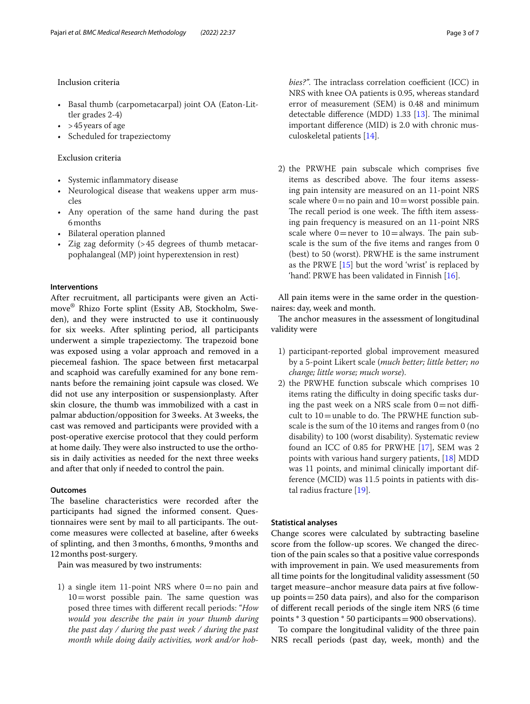## Inclusion criteria

- Basal thumb (carpometacarpal) joint OA (Eaton-Littler grades 2-4)
- > 45 years of age
- Scheduled for trapeziectomy

#### Exclusion criteria

- Systemic infammatory disease
- Neurological disease that weakens upper arm muscles
- Any operation of the same hand during the past 6months
- Bilateral operation planned
- Zig zag deformity (>45 degrees of thumb metacarpophalangeal (MP) joint hyperextension in rest)

## **Interventions**

After recruitment, all participants were given an Actimove® Rhizo Forte splint (Essity AB, Stockholm, Sweden), and they were instructed to use it continuously for six weeks. After splinting period, all participants underwent a simple trapeziectomy. The trapezoid bone was exposed using a volar approach and removed in a piecemeal fashion. The space between first metacarpal and scaphoid was carefully examined for any bone remnants before the remaining joint capsule was closed. We did not use any interposition or suspensionplasty. After skin closure, the thumb was immobilized with a cast in palmar abduction/opposition for 3weeks. At 3weeks, the cast was removed and participants were provided with a post-operative exercise protocol that they could perform at home daily. They were also instructed to use the orthosis in daily activities as needed for the next three weeks and after that only if needed to control the pain.

## **Outcomes**

The baseline characteristics were recorded after the participants had signed the informed consent. Questionnaires were sent by mail to all participants. The outcome measures were collected at baseline, after 6weeks of splinting, and then 3months, 6months, 9months and 12months post-surgery.

Pain was measured by two instruments:

1) a single item 11-point NRS where  $0=$  no pain and  $10=$  worst possible pain. The same question was posed three times with diferent recall periods: "*How would you describe the pain in your thumb during the past day / during the past week / during the past month while doing daily activities, work and/or hob-* *bies?"*. The intraclass correlation coefficient (ICC) in NRS with knee OA patients is 0.95, whereas standard error of measurement (SEM) is 0.48 and minimum detectable difference (MDD)  $1.33$  [\[13\]](#page-6-9). The minimal important diference (MID) is 2.0 with chronic musculoskeletal patients [\[14\]](#page-6-10).

2) the PRWHE pain subscale which comprises fve items as described above. The four items assessing pain intensity are measured on an 11-point NRS scale where  $0=$  no pain and  $10=$  worst possible pain. The recall period is one week. The fifth item assessing pain frequency is measured on an 11-point NRS scale where  $0=$  never to  $10=$  always. The pain subscale is the sum of the fve items and ranges from 0 (best) to 50 (worst). PRWHE is the same instrument as the PRWE [\[15\]](#page-6-11) but the word 'wrist' is replaced by 'hand'. PRWE has been validated in Finnish [\[16\]](#page-6-12).

All pain items were in the same order in the questionnaires: day, week and month.

The anchor measures in the assessment of longitudinal validity were

- 1) participant-reported global improvement measured by a 5-point Likert scale (*much better; little better; no change; little worse; much worse*).
- 2) the PRWHE function subscale which comprises 10 items rating the difficulty in doing specific tasks during the past week on a NRS scale from  $0=$  not difficult to  $10$  = unable to do. The PRWHE function subscale is the sum of the 10 items and ranges from 0 (no disability) to 100 (worst disability). Systematic review found an ICC of 0.85 for PRWHE [\[17\]](#page-6-13), SEM was 2 points with various hand surgery patients, [[18\]](#page-6-14) MDD was 11 points, and minimal clinically important difference (MCID) was 11.5 points in patients with distal radius fracture [\[19\]](#page-6-15).

## **Statistical analyses**

Change scores were calculated by subtracting baseline score from the follow-up scores. We changed the direction of the pain scales so that a positive value corresponds with improvement in pain. We used measurements from all time points for the longitudinal validity assessment (50 target measure–anchor measure data pairs at fve followup points=250 data pairs), and also for the comparison of diferent recall periods of the single item NRS (6 time points \* 3 question \* 50 participants=900 observations).

To compare the longitudinal validity of the three pain NRS recall periods (past day, week, month) and the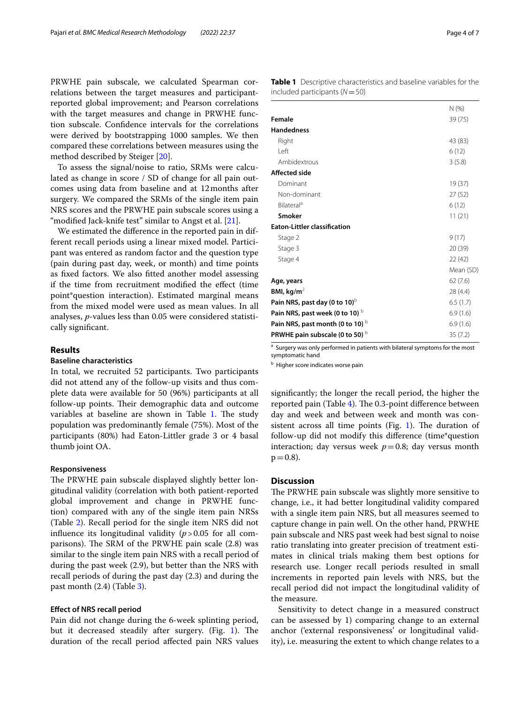PRWHE pain subscale, we calculated Spearman correlations between the target measures and participantreported global improvement; and Pearson correlations with the target measures and change in PRWHE function subscale. Confdence intervals for the correlations were derived by bootstrapping 1000 samples. We then compared these correlations between measures using the method described by Steiger [[20](#page-6-16)].

To assess the signal/noise to ratio, SRMs were calculated as change in score / SD of change for all pain outcomes using data from baseline and at 12months after surgery. We compared the SRMs of the single item pain NRS scores and the PRWHE pain subscale scores using a "modifed Jack-knife test" similar to Angst et al. [\[21](#page-6-17)].

We estimated the diference in the reported pain in different recall periods using a linear mixed model. Participant was entered as random factor and the question type (pain during past day, week, or month) and time points as fxed factors. We also ftted another model assessing if the time from recruitment modifed the efect (time point\*question interaction). Estimated marginal means from the mixed model were used as mean values. In all analyses, *p*-values less than 0.05 were considered statistically signifcant.

## **Results**

## **Baseline characteristics**

In total, we recruited 52 participants. Two participants did not attend any of the follow-up visits and thus complete data were available for 50 (96%) participants at all follow-up points. Their demographic data and outcome variables at baseline are shown in Table [1](#page-3-0). The study population was predominantly female (75%). Most of the participants (80%) had Eaton-Littler grade 3 or 4 basal thumb joint OA.

#### **Responsiveness**

The PRWHE pain subscale displayed slightly better longitudinal validity (correlation with both patient-reported global improvement and change in PRWHE function) compared with any of the single item pain NRSs (Table [2\)](#page-4-0). Recall period for the single item NRS did not influence its longitudinal validity  $(p > 0.05$  for all comparisons). The SRM of the PRWHE pain scale  $(2.8)$  was similar to the single item pain NRS with a recall period of during the past week (2.9), but better than the NRS with recall periods of during the past day (2.3) and during the past month (2.4) (Table [3](#page-4-1)).

#### **Efect of NRS recall period**

Pain did not change during the 6-week splinting period, but it decreased steadily after surgery. (Fig.  $1$ ). The duration of the recall period afected pain NRS values

<span id="page-3-0"></span>

|                                               | N(% )     |
|-----------------------------------------------|-----------|
| Female                                        | 39 (75)   |
| <b>Handedness</b>                             |           |
| Right                                         | 43 (83)   |
| I eft                                         | 6(12)     |
| Ambidextrous                                  | 3(5.8)    |
| <b>Affected side</b>                          |           |
| Dominant                                      | 19(37)    |
| Non-dominant                                  | 27(52)    |
| Bilateral <sup>a</sup>                        | 6(12)     |
| <b>Smoker</b>                                 | 11(21)    |
| <b>Eaton-Littler classification</b>           |           |
| Stage 2                                       | 9(17)     |
| Stage 3                                       | 20 (39)   |
| Stage 4                                       | 22(42)    |
|                                               | Mean (SD) |
| Age, years                                    | 62(7.6)   |
| BMI, kg/m <sup>2</sup>                        | 28 (4.4)  |
| Pain NRS, past day (0 to 10) $\text{D}$       | 6.5(1.7)  |
| Pain NRS, past week (0 to 10) $\text{b}$      | 6.9(1.6)  |
| Pain NRS, past month (0 to 10) $\overline{D}$ | 6.9(1.6)  |
| <b>PRWHE pain subscale (0 to 50)</b>          | 35(7.2)   |

<sup>a</sup> Surgery was only performed in patients with bilateral symptoms for the most symptomatic hand

**b** Higher score indicates worse pain

signifcantly; the longer the recall period, the higher the reported pain (Table [4\)](#page-5-1). The  $0.3$ -point difference between day and week and between week and month was con-sistent across all time points (Fig. [1\)](#page-5-0). The duration of follow-up did not modify this diference (time\*question interaction; day versus week  $p=0.8$ ; day versus month  $p = 0.8$ ).

## **Discussion**

The PRWHE pain subscale was slightly more sensitive to change, i.e., it had better longitudinal validity compared with a single item pain NRS, but all measures seemed to capture change in pain well. On the other hand, PRWHE pain subscale and NRS past week had best signal to noise ratio translating into greater precision of treatment estimates in clinical trials making them best options for research use. Longer recall periods resulted in small increments in reported pain levels with NRS, but the recall period did not impact the longitudinal validity of the measure.

Sensitivity to detect change in a measured construct can be assessed by 1) comparing change to an external anchor ('external responsiveness' or longitudinal validity), i.e. measuring the extent to which change relates to a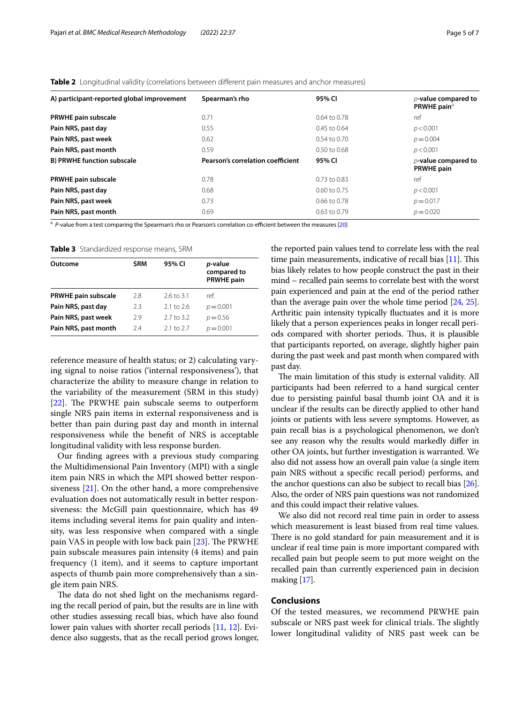<span id="page-4-0"></span>

| A) participant-reported global improvement | Spearman's rho                    | 95% CI           | $p$ -value compared to<br>PRWHE pain <sup>a</sup> |
|--------------------------------------------|-----------------------------------|------------------|---------------------------------------------------|
| <b>PRWHE pain subscale</b>                 | 0.71                              | $0.64$ to 0.78   | ref                                               |
| Pain NRS, past day                         | 0.55                              | 0.45 to 0.64     | p < 0.001                                         |
| Pain NRS, past week                        | 0.62                              | $0.54$ to $0.70$ | $p = 0.004$                                       |
| Pain NRS, past month                       | 0.59                              | $0.50$ to $0.68$ | p < 0.001                                         |
| <b>B) PRWHE function subscale</b>          | Pearson's correlation coefficient | 95% CI           | $p$ -value compared to<br><b>PRWHE pain</b>       |
| <b>PRWHE pain subscale</b>                 | 0.78                              | $0.73$ to $0.83$ | ref                                               |
| Pain NRS, past day                         | 0.68                              | $0.60$ to 0.75   | p < 0.001                                         |
| Pain NRS, past week                        | 0.73                              | $0.66$ to $0.78$ | $p = 0.017$                                       |
| Pain NRS, past month                       | 0.69                              | 0.63 to 0.79     | $p = 0.020$                                       |

<sup>a</sup> P-value from a test comparing the Spearman's rho or Pearson's correlation co-efficient between the measures [[20\]](#page-6-16)

<span id="page-4-1"></span>**Table 3** Standardized response means, SRM

| Outcome                    | <b>SRM</b> | 95% CI                | p-value<br>compared to<br><b>PRWHE pain</b> |
|----------------------------|------------|-----------------------|---------------------------------------------|
| <b>PRWHE pain subscale</b> | 2.8        | $2.6 \text{ to } 3.1$ | ref.                                        |
| Pain NRS, past day         | 2.3        | $2.1 \text{ to } 2.6$ | $p = 0.001$                                 |
| Pain NRS, past week        | 29         | 2.7 to 3.2            | $p = 0.56$                                  |
| Pain NRS, past month       | 74         | $2.1 \text{ to } 2.7$ | $p = 0.001$                                 |

reference measure of health status; or 2) calculating varying signal to noise ratios ('internal responsiveness'), that characterize the ability to measure change in relation to the variability of the measurement (SRM in this study)  $[22]$  $[22]$ . The PRWHE pain subscale seems to outperform single NRS pain items in external responsiveness and is better than pain during past day and month in internal responsiveness while the beneft of NRS is acceptable longitudinal validity with less response burden.

Our fnding agrees with a previous study comparing the Multidimensional Pain Inventory (MPI) with a single item pain NRS in which the MPI showed better responsiveness [[21\]](#page-6-17). On the other hand, a more comprehensive evaluation does not automatically result in better responsiveness: the McGill pain questionnaire, which has 49 items including several items for pain quality and intensity, was less responsive when compared with a single pain VAS in people with low back pain  $[23]$  $[23]$ . The PRWHE pain subscale measures pain intensity (4 items) and pain frequency (1 item), and it seems to capture important aspects of thumb pain more comprehensively than a single item pain NRS.

The data do not shed light on the mechanisms regarding the recall period of pain, but the results are in line with other studies assessing recall bias, which have also found lower pain values with shorter recall periods [\[11,](#page-6-7) [12\]](#page-6-8). Evidence also suggests, that as the recall period grows longer, the reported pain values tend to correlate less with the real time pain measurements, indicative of recall bias  $[11]$ . This bias likely relates to how people construct the past in their mind – recalled pain seems to correlate best with the worst pain experienced and pain at the end of the period rather than the average pain over the whole time period [\[24,](#page-6-20) [25](#page-6-21)]. Arthritic pain intensity typically fuctuates and it is more likely that a person experiences peaks in longer recall periods compared with shorter periods. Thus, it is plausible that participants reported, on average, slightly higher pain during the past week and past month when compared with past day.

The main limitation of this study is external validity. All participants had been referred to a hand surgical center due to persisting painful basal thumb joint OA and it is unclear if the results can be directly applied to other hand joints or patients with less severe symptoms. However, as pain recall bias is a psychological phenomenon, we don't see any reason why the results would markedly difer in other OA joints, but further investigation is warranted. We also did not assess how an overall pain value (a single item pain NRS without a specifc recall period) performs, and the anchor questions can also be subject to recall bias [[26](#page-6-22)]. Also, the order of NRS pain questions was not randomized and this could impact their relative values.

We also did not record real time pain in order to assess which measurement is least biased from real time values. There is no gold standard for pain measurement and it is unclear if real time pain is more important compared with recalled pain but people seem to put more weight on the recalled pain than currently experienced pain in decision making [[17](#page-6-13)].

## **Conclusions**

Of the tested measures, we recommend PRWHE pain subscale or NRS past week for clinical trials. The slightly lower longitudinal validity of NRS past week can be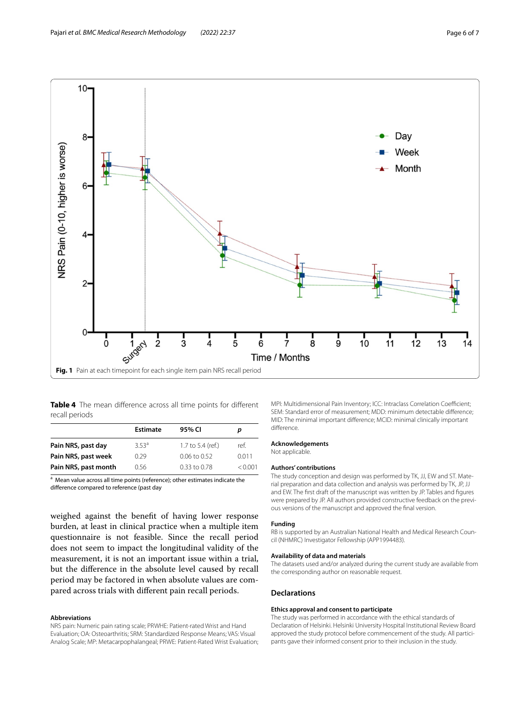

<span id="page-5-1"></span><span id="page-5-0"></span>**Table 4** The mean diference across all time points for diferent recall periods

| Estimate         | 95% CI            | p       |  |  |
|------------------|-------------------|---------|--|--|
| 353 <sup>a</sup> | 1.7 to 5.4 (ref.) | ref.    |  |  |
| 0.29             | $0.06$ to $0.52$  | 0.011   |  |  |
| 0.56             | $0.33$ to $0.78$  | < 0.001 |  |  |
|                  |                   |         |  |  |

<sup>a</sup> Mean value across all time points (reference); other estimates indicate the diference compared to reference (past day

weighed against the beneft of having lower response burden, at least in clinical practice when a multiple item questionnaire is not feasible. Since the recall period does not seem to impact the longitudinal validity of the measurement, it is not an important issue within a trial, but the diference in the absolute level caused by recall period may be factored in when absolute values are compared across trials with diferent pain recall periods.

#### **Abbreviations**

NRS pain: Numeric pain rating scale; PRWHE: Patient-rated Wrist and Hand Evaluation; OA: Osteoarthritis; SRM: Standardized Response Means; VAS: Visual Analog Scale; MP: Metacarpophalangeal; PRWE: Patient-Rated Wrist Evaluation; MPI: Multidimensional Pain Inventory; ICC: Intraclass Correlation Coefficient; SEM: Standard error of measurement; MDD: minimum detectable diference; MID: The minimal important diference; MCID: minimal clinically important diference.

#### **Acknowledgements**

Not applicable.

#### **Authors' contributions**

The study conception and design was performed by TK, JJ, EW and ST. Material preparation and data collection and analysis was performed by TK, JP, JJ and EW. The frst draft of the manuscript was written by JP. Tables and fgures were prepared by JP. All authors provided constructive feedback on the previous versions of the manuscript and approved the fnal version.

#### **Funding**

RB is supported by an Australian National Health and Medical Research Council (NHMRC) Investigator Fellowship (APP1994483).

#### **Availability of data and materials**

The datasets used and/or analyzed during the current study are available from the corresponding author on reasonable request.

#### **Declarations**

#### **Ethics approval and consent to participate**

The study was performed in accordance with the ethical standards of Declaration of Helsinki. Helsinki University Hospital Institutional Review Board approved the study protocol before commencement of the study. All participants gave their informed consent prior to their inclusion in the study.